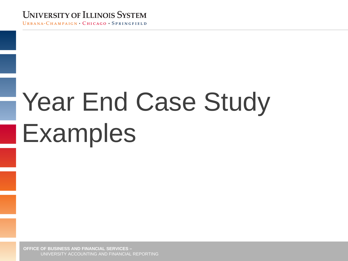#### **UNIVERSITY OF ILLINOIS SYSTEM**

URBANA-CHAMPAIGN • CHICAGO • SPRINGFIELD

# Year End Case Study Examples

**OFFICE OF BUSINESS AND FINANCIAL SERVICES –** UNIVERSITY ACCOUNTING AND FINANCIAL REPORTING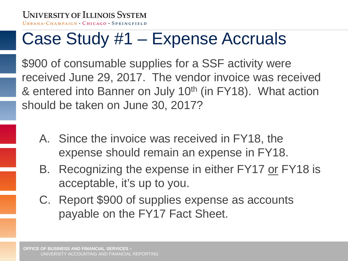#### Case Study #1 – Expense Accruals

\$900 of consumable supplies for a SSF activity were received June 29, 2017. The vendor invoice was received & entered into Banner on July 10<sup>th</sup> (in FY18). What action should be taken on June 30, 2017?

- A. Since the invoice was received in FY18, the expense should remain an expense in FY18.
- B. Recognizing the expense in either FY17 or FY18 is acceptable, it's up to you.
- C. Report \$900 of supplies expense as accounts payable on the FY17 Fact Sheet.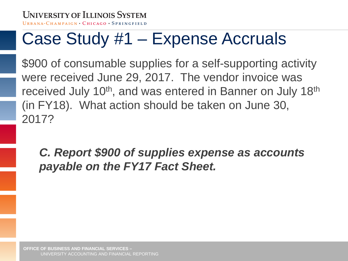# Case Study #1 – Expense Accruals

\$900 of consumable supplies for a self-supporting activity were received June 29, 2017. The vendor invoice was received July 10<sup>th</sup>, and was entered in Banner on July 18<sup>th</sup> (in FY18). What action should be taken on June 30, 2017?

*C. Report \$900 of supplies expense as accounts payable on the FY17 Fact Sheet.*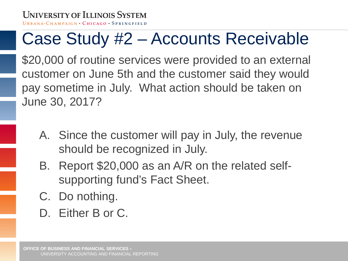#### Case Study #2 – Accounts Receivable

\$20,000 of routine services were provided to an external customer on June 5th and the customer said they would pay sometime in July. What action should be taken on June 30, 2017?

- A. Since the customer will pay in July, the revenue should be recognized in July.
- B. Report \$20,000 as an A/R on the related selfsupporting fund's Fact Sheet.
- C. Do nothing.
- D. Either B or C.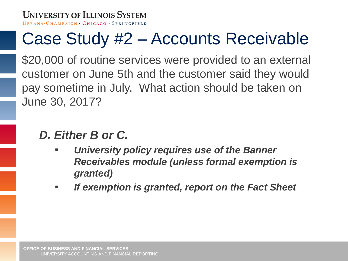#### Case Study #2 – Accounts Receivable

\$20,000 of routine services were provided to an external customer on June 5th and the customer said they would pay sometime in July. What action should be taken on June 30, 2017?

#### *D. Either B or C.*

- *University policy requires use of the Banner Receivables module (unless formal exemption is granted)*
- *If exemption is granted, report on the Fact Sheet*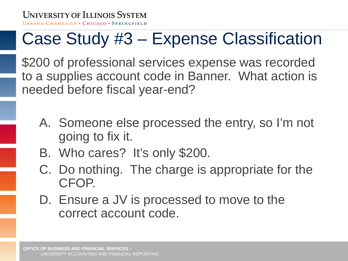# Case Study #3 – Expense Classification

\$200 of professional services expense was recorded to a supplies account code in Banner. What action is needed before fiscal year-end?

- A. Someone else processed the entry, so I'm not going to fix it.
- B. Who cares? It's only \$200.
- C. Do nothing. The charge is appropriate for the CFOP.
- D. Ensure a JV is processed to move to the correct account code.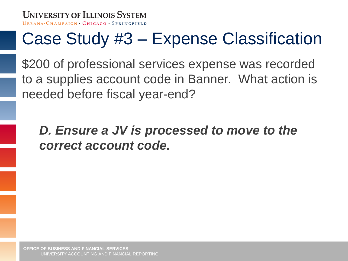#### Case Study #3 – Expense Classification

\$200 of professional services expense was recorded to a supplies account code in Banner. What action is needed before fiscal year-end?

*D. Ensure a JV is processed to move to the correct account code.*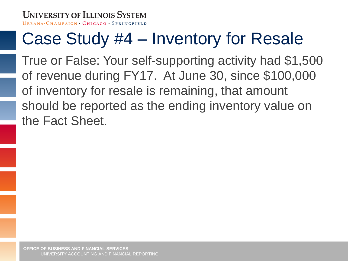# Case Study #4 – Inventory for Resale

True or False: Your self-supporting activity had \$1,500 of revenue during FY17. At June 30, since \$100,000 of inventory for resale is remaining, that amount should be reported as the ending inventory value on the Fact Sheet.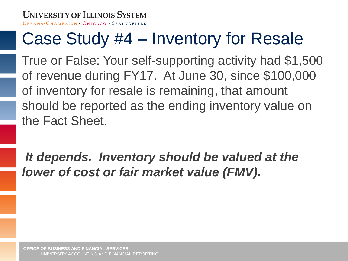# Case Study #4 – Inventory for Resale

True or False: Your self-supporting activity had \$1,500 of revenue during FY17. At June 30, since \$100,000 of inventory for resale is remaining, that amount should be reported as the ending inventory value on the Fact Sheet.

*It depends. Inventory should be valued at the lower of cost or fair market value (FMV).*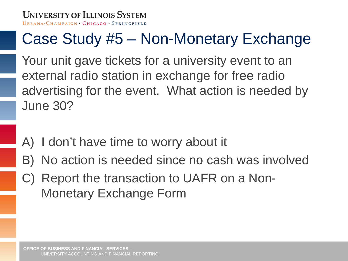#### Case Study #5 – Non-Monetary Exchange

Your unit gave tickets for a university event to an external radio station in exchange for free radio advertising for the event. What action is needed by June 30?

- A) I don't have time to worry about it
- B) No action is needed since no cash was involved
- C) Report the transaction to UAFR on a Non-Monetary Exchange Form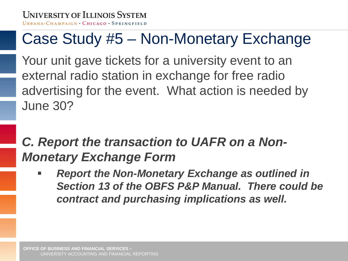#### Case Study #5 – Non-Monetary Exchange

Your unit gave tickets for a university event to an external radio station in exchange for free radio advertising for the event. What action is needed by June 30?

#### *C. Report the transaction to UAFR on a Non-Monetary Exchange Form*

 *Report the Non-Monetary Exchange as outlined in Section 13 of the OBFS P&P Manual. There could be contract and purchasing implications as well.*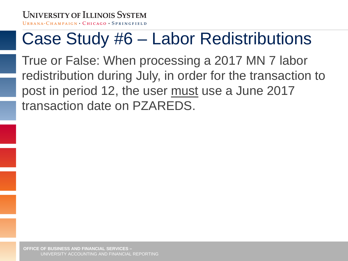# Case Study #6 – Labor Redistributions

True or False: When processing a 2017 MN 7 labor redistribution during July, in order for the transaction to post in period 12, the user must use a June 2017 transaction date on PZAREDS.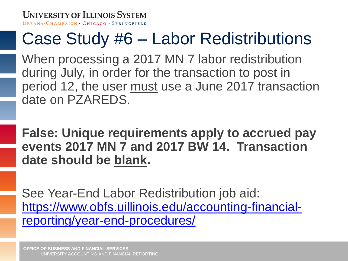#### Case Study #6 – Labor Redistributions

When processing a 2017 MN 7 labor redistribution during July, in order for the transaction to post in period 12, the user must use a June 2017 transaction date on PZAREDS.

**False: Unique requirements apply to accrued pay events 2017 MN 7 and 2017 BW 14. Transaction date should be blank.**

See Year-End Labor Redistribution job aid: [https://www.obfs.uillinois.edu/accounting-financial](https://www.obfs.uillinois.edu/accounting-financial-reporting/year-end-procedures/)reporting/year-end-procedures/